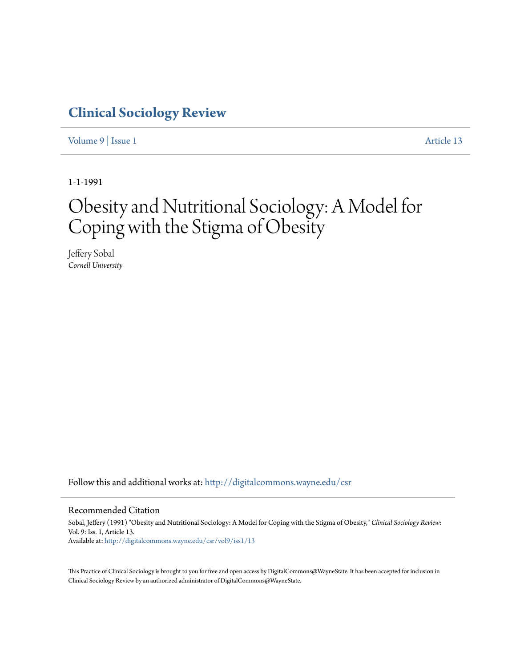# **[Clinical Sociology Review](http://digitalcommons.wayne.edu/csr?utm_source=digitalcommons.wayne.edu%2Fcsr%2Fvol9%2Fiss1%2F13&utm_medium=PDF&utm_campaign=PDFCoverPages)**

[Volume 9](http://digitalcommons.wayne.edu/csr/vol9?utm_source=digitalcommons.wayne.edu%2Fcsr%2Fvol9%2Fiss1%2F13&utm_medium=PDF&utm_campaign=PDFCoverPages) | [Issue 1](http://digitalcommons.wayne.edu/csr/vol9/iss1?utm_source=digitalcommons.wayne.edu%2Fcsr%2Fvol9%2Fiss1%2F13&utm_medium=PDF&utm_campaign=PDFCoverPages) [Article 13](http://digitalcommons.wayne.edu/csr/vol9/iss1/13?utm_source=digitalcommons.wayne.edu%2Fcsr%2Fvol9%2Fiss1%2F13&utm_medium=PDF&utm_campaign=PDFCoverPages)

1-1-1991

# Obesity and Nutritional Sociology: A Model for Coping with the Stigma of Obesity

Jeffery Sobal *Cornell University*

Follow this and additional works at: [http://digitalcommons.wayne.edu/csr](http://digitalcommons.wayne.edu/csr?utm_source=digitalcommons.wayne.edu%2Fcsr%2Fvol9%2Fiss1%2F13&utm_medium=PDF&utm_campaign=PDFCoverPages)

# Recommended Citation

Sobal, Jeffery (1991) "Obesity and Nutritional Sociology: A Model for Coping with the Stigma of Obesity," *Clinical Sociology Review*: Vol. 9: Iss. 1, Article 13. Available at: [http://digitalcommons.wayne.edu/csr/vol9/iss1/13](http://digitalcommons.wayne.edu/csr/vol9/iss1/13?utm_source=digitalcommons.wayne.edu%2Fcsr%2Fvol9%2Fiss1%2F13&utm_medium=PDF&utm_campaign=PDFCoverPages)

This Practice of Clinical Sociology is brought to you for free and open access by DigitalCommons@WayneState. It has been accepted for inclusion in Clinical Sociology Review by an authorized administrator of DigitalCommons@WayneState.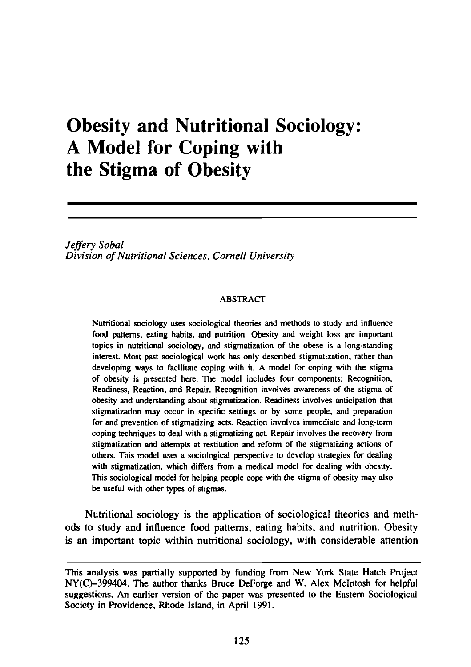# Obesity and Nutritional Sociology: A Model for Coping with the Stigma of Obesity

*Jeffery Sobal Division of Nutritional Sciences, Cornell University*

#### ABSTRACT

Nutritional sociology uses sociological theories and methods to study and influence food patterns, eating habits, and nutrition. Obesity and weight loss are important topics in nutritional sociology, and stigmatization of the obese is a long-standing interest. Most past sociological work has only described stigmatization, rather than developing ways to facilitate coping with it. A model for coping with the stigma of obesity is presented here. The model includes four components: Recognition, Readiness, Reaction, and Repair. Recognition involves awareness of the stigma of obesity and understanding about stigmatization. Readiness involves anticipation that stigmatization may occur in specific settings or by some people, and preparation for and prevention of stigmatizing acts. Reaction involves immediate and long-term coping techniques to deal with a stigmatizing act. Repair involves the recovery from stigmatization and attempts at restitution and reform of the stigmatizing actions of others. This model uses a sociological perspective to develop strategies for dealing with stigmatization, which differs from a medical model for dealing with obesity. This sociological model for helping people cope with the stigma of obesity may also be useful with other types of stigmas.

Nutritional sociology is the application of sociological theories and methods to study and influence food patterns, eating habits, and nutrition. Obesity is an important topic within nutritional sociology, with considerable attention

This analysis was partially supported by funding from New York State Hatch Project NY(C)–399404. The author thanks Bruce DeForge and W. Alex McIntosh for helpful suggestions. An earlier version of the paper was presented to the Eastern Sociological Society in Providence, Rhode Island, in April 1991.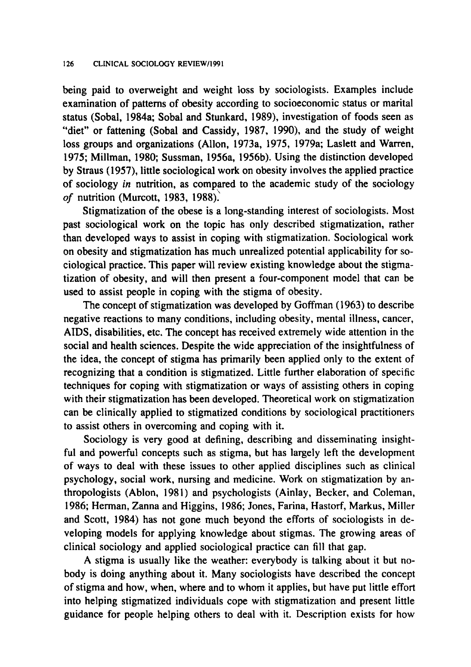being paid to overweight and weight loss *by* sociologists. Examples include examination of patterns of obesity according to socioeconomic status or marital status (Sobal, 1984a; Sobal and Stunkard, 1989), investigation of foods seen as "diet" or fattening (Sobal and Cassidy, 1987, 1990), and the study of weight loss groups and organizations (Allon, 1973a, 1975, 1979a; Laslett and Warren, 1975; Millman, 1980; Sussman, 1956a, 1956b). Using the distinction developed by Straus (1957), little sociological work on obesity involves the applied practice of sociology *in* nutrition, as compared to the academic study of the sociology *of* nutrition (Murcott, 1983, 1988).

Stigmatization of the obese is a long-standing interest of sociologists. Most past sociological work on the topic has only described Stigmatization, rather than developed ways to assist in coping with Stigmatization. Sociological work on obesity and stigmatization has much unrealized potential applicability for sociological practice. This paper will review existing knowledge about the stigmatization of obesity, and will then present a four-component model that can be used to assist people in coping with the stigma of obesity.

The concept of stigmatization was developed by Goffman (1963) to describe negative reactions to many conditions, including obesity, mental illness, cancer, AIDS, disabilities, etc. The concept has received extremely wide attention in the social and health sciences. Despite the wide appreciation of the insightfulness of the idea, the concept of stigma has primarily been applied only to the extent of recognizing that a condition is stigmatized. Little further elaboration of specific techniques for coping with stigmatization or ways of assisting others in coping with their stigmatization has been developed. Theoretical work on stigmatization can be clinically applied to stigmatized conditions by sociological practitioners to assist others in overcoming and coping with it.

Sociology is very good at defining, describing and disseminating insightful and powerful concepts such as stigma, but has largely left the development of ways to deal with these issues to other applied disciplines such as clinical psychology, social work, nursing and medicine. Work on stigmatization by anthropologists (Ablon, 1981) and psychologists (Ainlay, Becker, and Coleman, 1986; Herman, Zanna and Higgins, 1986; Jones, Farina, Hastorf, Markus, Miller and Scott, 1984) has not gone much beyond the efforts of sociologists in developing models for applying knowledge about stigmas. The growing areas of clinical sociology and applied sociological practice can fill that gap.

A stigma is usually like the weather: everybody is talking about it but nobody is doing anything about it. Many sociologists have described the concept of stigma and how, when, where and to whom it applies, but have put little effort into helping stigmatized individuals cope with Stigmatization and present little guidance for people helping others to deal with it. Description exists for how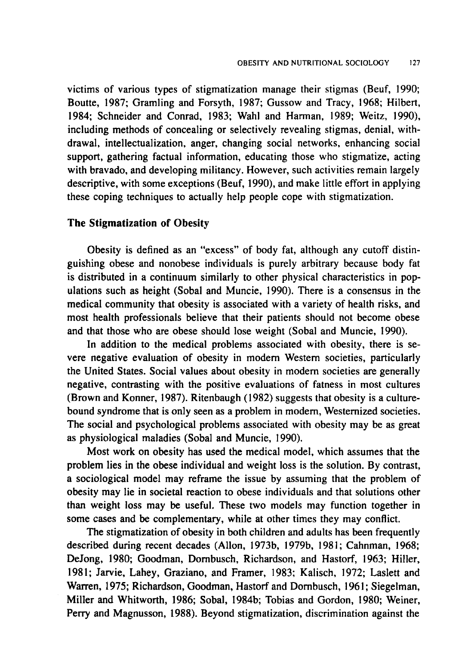victims of various types of stigmatization manage their stigmas (Beuf, 1990; Boutte, 1987; Gramling and Forsyth, 1987; Gussow and Tracy, 1968; Hilbert, 1984; Schneider and Conrad, 1983; Wahl and Harman, 1989; Weitz, 1990), including methods of concealing or selectively revealing stigmas, denial, withdrawal, intellectualization, anger, changing social networks, enhancing social support, gathering factual information, educating those who stigmatize, acting with bravado, and developing militancy. However, such activities remain largely descriptive, with some exceptions (Beuf, 1990), and make little effort in applying these coping techniques to actually help people cope with stigmatization.

### **The Stigmatization of Obesity**

Obesity is defined as an "excess" of body fat, although any cutoff distinguishing obese and nonobese individuals is purely arbitrary because body fat is distributed in a continuum similarly to other physical characteristics in populations such as height (Sobal and Muncie, 1990). There is a consensus in the medical community that obesity is associated with a variety of health risks, and most health professionals believe that their patients should not become obese and that those who are obese should lose weight (Sobal and Muncie, 1990).

In addition to the medical problems associated with obesity, there is severe negative evaluation of obesity in modem Western societies, particularly the United States. Social values about obesity in modern societies are generally negative, contrasting with the positive evaluations of fatness in most cultures (Brown and Konner, 1987). Ritenbaugh (1982) suggests that obesity is a culturebound syndrome that is only seen as a problem in modern, Westernized societies. The social and psychological problems associated with obesity may be as great as physiological maladies (Sobal and Muncie, 1990).

Most work on obesity has used the medical model, which assumes that the problem lies in the obese individual and weight loss is the solution. By contrast, a sociological model may reframe the issue by assuming that the problem of obesity may lie in societal reaction to obese individuals and that solutions other than weight loss may be useful. These two models may function together in some cases and be complementary, while at other times they may conflict.

The stigmatization of obesity in both children and adults has been frequently described during recent decades (Allon, 1973b, 1979b, 1981; Cahnman, 1968; DeJong, 1980; Goodman, Dornbusch, Richardson, and Hastorf, 1963; Hiller, 1981; Jarvie, Lahey, Graziano, and Framer, 1983; Kalisch, 1972; Laslett and Warren, 1975; Richardson, Goodman, Hastorf and Dornbusch, 1961; Siegelman, Miller and Whitworth, 1986; Sobal, 1984b; Tobias and Gordon, 1980; Weiner, Perry and Magnusson, 1988). Beyond stigmatization, discrimination against the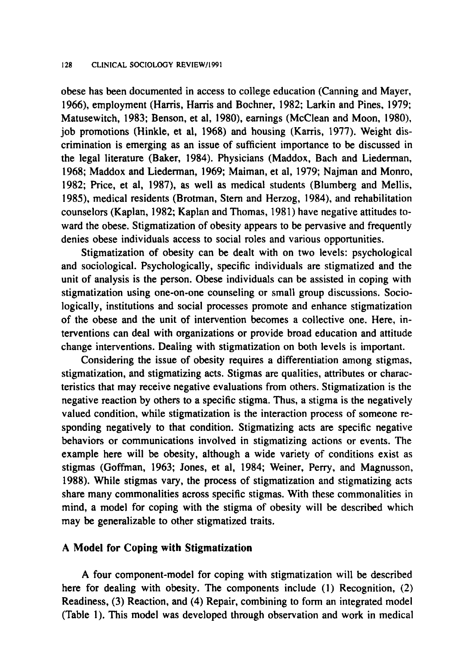obese has been documented in access to college education (Canning and Mayer, 1966), employment (Harris, Harris and Bochner, 1982; Larkin and Pines, 1979; Matusewitch, 1983; Benson, et al, 1980), earnings (McClean and Moon, 1980), job promotions (Hinkle, et al, 1968) and housing (Karris, 1977). Weight discrimination is emerging as an issue of sufficient importance to be discussed in the legal literature (Baker, 1984). Physicians (Maddox, Bach and Liederman, 1968; Maddox and Liederman, 1969; Maiman, et al, 1979; Najman and Monro, 1982; Price, et al, 1987), as well as medical students (Blumberg and Mellis, 1985), medical residents (Brotman, Stern and Herzog, 1984), and rehabilitation counselors (Kaplan, 1982; Kaplan and Thomas, 1981) have negative attitudes toward the obese. Stigmatization of obesity appears to be pervasive and frequently denies obese individuals access to social roles and various opportunities.

Stigmatization of obesity can be dealt with on two levels: psychological and sociological. Psychologically, specific individuals are stigmatized and the unit of analysis is the person. Obese individuals can be assisted in coping with stigmatization using one-on-one counseling or small group discussions. Sociologically, institutions and social processes promote and enhance stigmatization of the obese and the unit of intervention becomes a collective one. Here, interventions can deal with organizations or provide broad education and attitude change interventions. Dealing with Stigmatization on both levels is important.

Considering the issue of obesity requires a differentiation among stigmas, stigmatization, and stigmatizing acts. Stigmas are qualities, attributes or characteristics that may receive negative evaluations from others. Stigmatization is the negative reaction by others to a specific stigma. Thus, a stigma is the negatively valued condition, while stigmatization is the interaction process of someone responding negatively to that condition. Stigmatizing acts are specific negative behaviors or communications involved in stigmatizing actions or events. The example here will be obesity, although a wide variety of conditions exist as stigmas (Goffman, 1963; Jones, et al, 1984; Weiner, Perry, and Magnusson, 1988). While stigmas vary, the process of Stigmatization and stigmatizing acts share many commonalities across specific stigmas. With these commonalities in mind, a model for coping with the stigma of obesity will be described which may be generalizable to other stigmatized traits.

## **A Model for Coping with Stigmatization**

A four component-model for coping with Stigmatization will be described here for dealing with obesity. The components include (1) Recognition, (2) Readiness, (3) Reaction, and (4) Repair, combining to form an integrated model (Table 1). This model was developed through observation and work in medical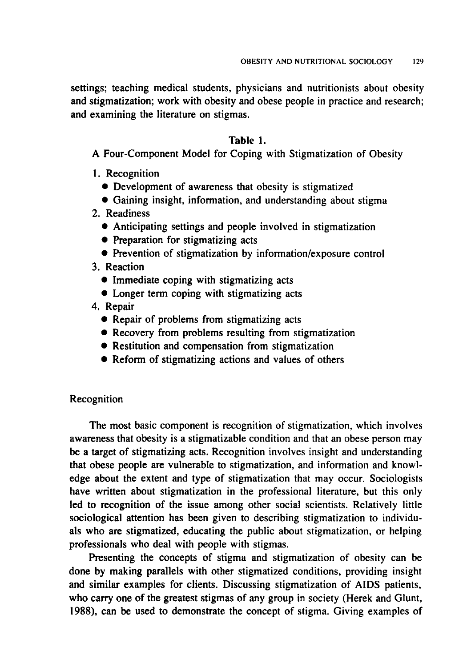settings; teaching medical students, physicians and nutritionists about obesity and stigmatization; work with obesity and obese people in practice and research; and examining the literature on stigmas.

#### **Table 1.**

A Four-Component Model for Coping with Stigmatization of Obesity

- 1. Recognition
	- Development of awareness that obesity is stigmatized
	- Gaining insight, information, and understanding about stigma
- 2. Readiness
	- Anticipating settings and people involved in stigmatization
	- Preparation for stigmatizing acts
	- Prevention of stigmatization by information/exposure control
- 3. Reaction
	- Immediate coping with stigmatizing acts
	- Longer term coping with stigmatizing acts
- 4. Repair
	- Repair of problems from stigmatizing acts
	- Recovery from problems resulting from stigmatization
	- Restitution and compensation from stigmatization
	- Reform of stigmatizing actions and values of others

#### Recognition

The most basic component is recognition of stigmatization, which involves awareness that obesity is a stigmatizable condition and that an obese person may be a target of stigmatizing acts. Recognition involves insight and understanding that obese people are vulnerable to stigmatization, and information and knowledge about the extent and type of stigmatization that may occur. Sociologists have written about stigmatization in the professional literature, but this only led to recognition of the issue among other social scientists. Relatively little sociological attention has been given to describing stigmatization to individuals who are stigmatized, educating the public about stigmatization, or helping professionals who deal with people with stigmas.

Presenting the concepts of stigma and stigmatization of obesity can be done by making parallels with other stigmatized conditions, providing insight and similar examples for clients. Discussing stigmatization of AIDS patients, who carry one of the greatest stigmas of any group in society (Herek and Glunt, 1988), can be used to demonstrate the concept of stigma. Giving examples of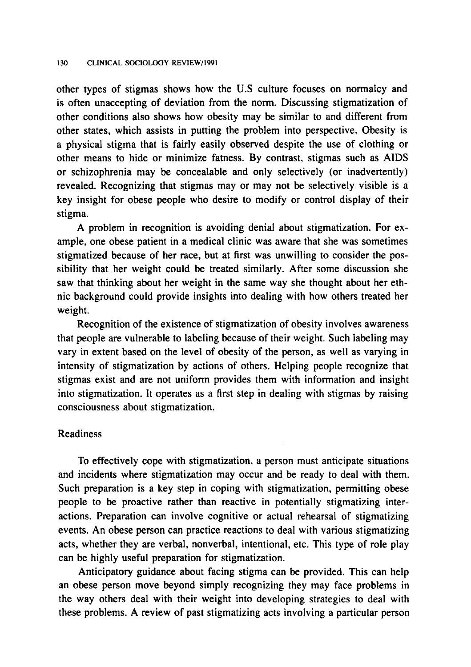other types of stigmas shows how the U.S culture focuses on normalcy and is often unaccepting of deviation from the norm. Discussing stigmatization of other conditions also shows how obesity may be similar to and different from other states, which assists in putting the problem into perspective. Obesity is a physical stigma that is fairly easily observed despite the use of clothing or other means to hide or minimize fatness. By contrast, stigmas such as AIDS or schizophrenia may be concealable and only selectively (or inadvertently) revealed. Recognizing that stigmas may or may not be selectively visible is a key insight for obese people who desire to modify or control display of their stigma.

A problem in recognition is avoiding denial about stigmatization. For example, one obese patient in a medical clinic was aware that she was sometimes stigmatized because of her race, but at first was unwilling to consider the possibility that her weight could be treated similarly. After some discussion she saw that thinking about her weight in the same way she thought about her ethnic background could provide insights into dealing with how others treated her weight.

Recognition of the existence of stigmatization of obesity involves awareness that people are vulnerable to labeling because of their weight. Such labeling may vary in extent based on the level of obesity of the person, as well as varying in intensity of stigmatization by actions of others. Helping people recognize that stigmas exist and are not uniform provides them with information and insight into stigmatization. It operates as a first step in dealing with stigmas by raising consciousness about stigmatization.

# Readiness

To effectively cope with stigmatization, a person must anticipate situations and incidents where stigmatization may occur and be ready to deal with them. Such preparation is a key step in coping with stigmatization, permitting obese people to be proactive rather than reactive in potentially stigmatizing interactions. Preparation can involve cognitive or actual rehearsal of stigmatizing events. An obese person can practice reactions to deal with various stigmatizing acts, whether they are verbal, nonverbal, intentional, etc. This type of role play can be highly useful preparation for stigmatization.

Anticipatory guidance about facing stigma can be provided. This can help an obese person move beyond simply recognizing they may face problems in the way others deal with their weight into developing strategies to deal with these problems. A review of past stigmatizing acts involving a particular person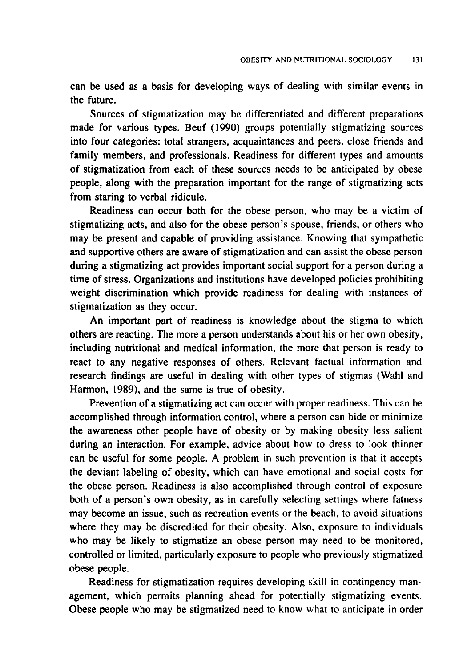can be used as a basis for developing ways of dealing with similar events in the future.

Sources of stigmatization may be differentiated and different preparations made for various types. Beuf (1990) groups potentially stigmatizing sources into four categories: total strangers, acquaintances and peers, close friends and family members, and professionals. Readiness for different types and amounts of stigmatization from each of these sources needs to be anticipated by obese people, along with the preparation important for the range of stigmatizing acts from staring to verbal ridicule.

Readiness can occur both for the obese person, who may be a victim of stigmatizing acts, and also for the obese person's spouse, friends, or others who may be present and capable of providing assistance. Knowing that sympathetic and supportive others are aware of stigmatization and can assist the obese person during a stigmatizing act provides important social support for a person during a time of stress. Organizations and institutions have developed policies prohibiting weight discrimination which provide readiness for dealing with instances of stigmatization as they occur.

An important part of readiness is knowledge about the stigma to which others are reacting. The more a person understands about his or her own obesity, including nutritional and medical information, the more that person is ready to react to any negative responses of others. Relevant factual information and research findings are useful in dealing with other types of stigmas (Wahl and Harmon, 1989), and the same is true of obesity.

Prevention of a stigmatizing act can occur with proper readiness. This can be accomplished through information control, where a person can hide or minimize the awareness other people have of obesity or by making obesity less salient during an interaction. For example, advice about how to dress to look thinner can be useful for some people. A problem in such prevention is that it accepts the deviant labeling of obesity, which can have emotional and social costs for the obese person. Readiness is also accomplished through control of exposure both of a person's own obesity, as in carefully selecting settings where fatness may become an issue, such as recreation events or the beach, to avoid situations where they may be discredited for their obesity. Also, exposure to individuals who may be likely to stigmatize an obese person may need to be monitored, controlled or limited, particularly exposure to people who previously stigmatized obese people.

Readiness for stigmatization requires developing skill in contingency management, which permits planning ahead for potentially stigmatizing events. Obese people who may be stigmatized need to know what to anticipate in order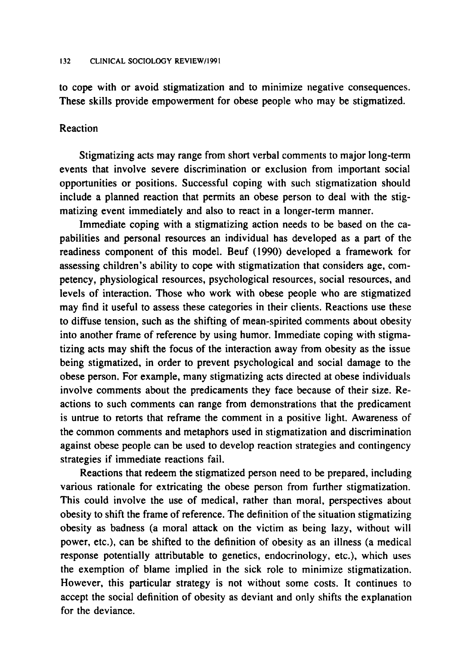to cope with or avoid stigmatization and to minimize negative consequences. These skills provide empowerment for obese people who may be stigmatized.

# Reaction

Stigmatizing acts may range from short verbal comments to major long-term events that involve severe discrimination or exclusion from important social opportunities or positions. Successful coping with such stigmatization should include a planned reaction that permits an obese person to deal with the stigmatizing event immediately and also to react in a longer-term manner.

Immediate coping with a stigmatizing action needs to be based on the capabilities and personal resources an individual has developed as a part of the readiness component of this model. Beuf (1990) developed a framework for assessing children's ability to cope with stigmatization that considers age, competency, physiological resources, psychological resources, social resources, and levels of interaction. Those who work with obese people who are stigmatized may find it useful to assess these categories in their clients. Reactions use these to diffuse tension, such as the shifting of mean-spirited comments about obesity into another frame of reference by using humor. Immediate coping with stigmatizing acts may shift the focus of the interaction away from obesity as the issue being stigmatized, in order to prevent psychological and social damage to the obese person. For example, many stigmatizing acts directed at obese individuals involve comments about the predicaments they face because of their size. Reactions to such comments can range from demonstrations that the predicament is untrue to retorts that reframe the comment in a positive light. Awareness of the common comments and metaphors used in stigmatization and discrimination against obese people can be used to develop reaction strategies and contingency strategies if immediate reactions fail.

Reactions that redeem the stigmatized person need to be prepared, including various rationale for extricating the obese person from further stigmatization. This could involve the use of medical, rather than moral, perspectives about obesity to shift the frame of reference. The definition of the situation stigmatizing obesity as badness (a moral attack on the victim as being lazy, without will power, etc.), can be shifted to the definition of obesity as an illness (a medical response potentially attributable to genetics, endocrinology, etc.), which uses the exemption of blame implied in the sick role to minimize stigmatization. However, this particular strategy is not without some costs. It continues to accept the social definition of obesity as deviant and only shifts the explanation for the deviance.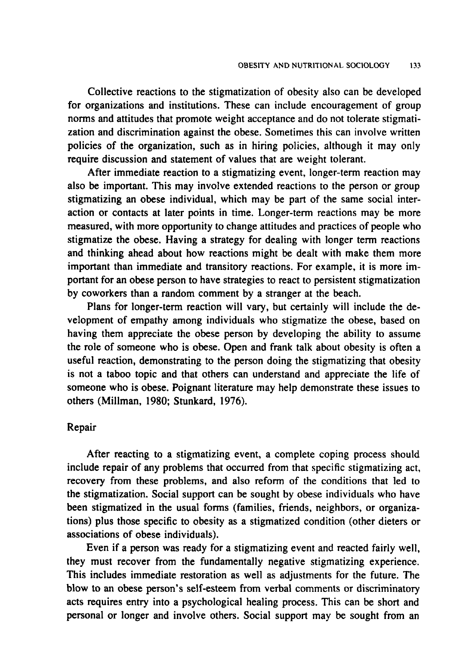Collective reactions to the stigmatization of obesity also can be developed for organizations and institutions. These can include encouragement of group norms and attitudes that promote weight acceptance and do not tolerate stigmatization and discrimination against the obese. Sometimes this can involve written policies of the organization, such as in hiring policies, although it may only require discussion and statement of values that are weight tolerant.

After immediate reaction to a stigmatizing event, longer-term reaction may also be important. This may involve extended reactions to the person or group stigmatizing an obese individual, which may be part of the same social interaction or contacts at later points in time. Longer-term reactions may be more measured, with more opportunity to change attitudes and practices of people who stigmatize the obese. Having a strategy for dealing with longer term reactions and thinking ahead about how reactions might be dealt with make them more important than immediate and transitory reactions. For example, it is more important for an obese person to have strategies to react to persistent stigmatization by coworkers than a random comment by a stranger at the beach.

Plans for longer-term reaction will vary, but certainly will include the development of empathy among individuals who stigmatize the obese, based on having them appreciate the obese person by developing the ability to assume the role of someone who is obese. Open and frank talk about obesity is often a useful reaction, demonstrating to the person doing the stigmatizing that obesity is not a taboo topic and that others can understand and appreciate the life of someone who is obese. Poignant literature may help demonstrate these issues to others (Millman, 1980; Stunkard, 1976).

#### Repair

After reacting to a stigmatizing event, a complete coping process should include repair of any problems that occurred from that specific stigmatizing act, recovery from these problems, and also reform of the conditions that led to the stigmatization. Social support can be sought by obese individuals who have been stigmatized in the usual forms (families, friends, neighbors, or organizations) plus those specific to obesity as a stigmatized condition (other dieters or associations of obese individuals).

Even if a person was ready for a stigmatizing event and reacted fairly well, they must recover from the fundamentally negative stigmatizing experience. This includes immediate restoration as well as adjustments for the future. The blow to an obese person's self-esteem from verbal comments or discriminatory acts requires entry into a psychological healing process. This can be short and personal or longer and involve others. Social support may be sought from an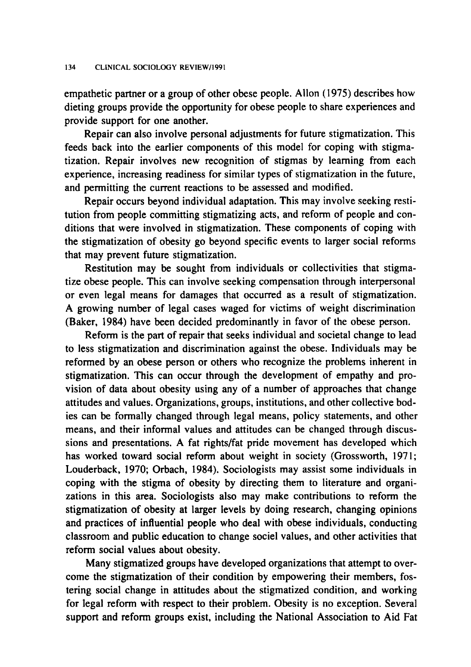empathetic partner or a group of other obese people. Allon (1975) describes how dieting groups provide the opportunity for obese people to share experiences and provide support for one another.

Repair can also involve personal adjustments for future stigmatization. This feeds back into the earlier components of this model for coping with stigmatization. Repair involves new recognition of stigmas by learning from each experience, increasing readiness for similar types of stigmatization in the future, and permitting the current reactions to be assessed and modified.

Repair occurs beyond individual adaptation. This may involve seeking restitution from people committing stigmatizing acts, and reform of people and conditions that were involved in stigmatization. These components of coping with the stigmatization of obesity go beyond specific events to larger social reforms that may prevent future stigmatization.

Restitution may be sought from individuals or collectivities that stigmatize obese people. This can involve seeking compensation through interpersonal or even legal means for damages that occurred as a result of stigmatization. A growing number of legal cases waged for victims of weight discrimination (Baker, 1984) have been decided predominantly in favor of the obese person.

Reform is the part of repair that seeks individual and societal change to lead to less stigmatization and discrimination against the obese. Individuals may be reformed by an obese person or others who recognize the problems inherent in stigmatization. This can occur through the development of empathy and provision of data about obesity using any of a number of approaches that change attitudes and values. Organizations, groups, institutions, and other collective bodies can be formally changed through legal means, policy statements, and other means, and their informal values and attitudes can be changed through discussions and presentations. A fat rights/fat pride movement has developed which has worked toward social reform about weight in society (Grossworth, 1971; Louderback, 1970; Orbach, 1984). Sociologists may assist some individuals in coping with the stigma of obesity by directing them to literature and organizations in this area. Sociologists also may make contributions to reform the stigmatization of obesity at larger levels by doing research, changing opinions and practices of influential people who deal with obese individuals, conducting classroom and public education to change sociel values, and other activities that reform social values about obesity.

Many stigmatized groups have developed organizations that attempt to overcome the stigmatization of their condition by empowering their members, fostering social change in attitudes about the stigmatized condition, and working for legal reform with respect to their problem. Obesity is no exception. Several support and reform groups exist, including the National Association to Aid Fat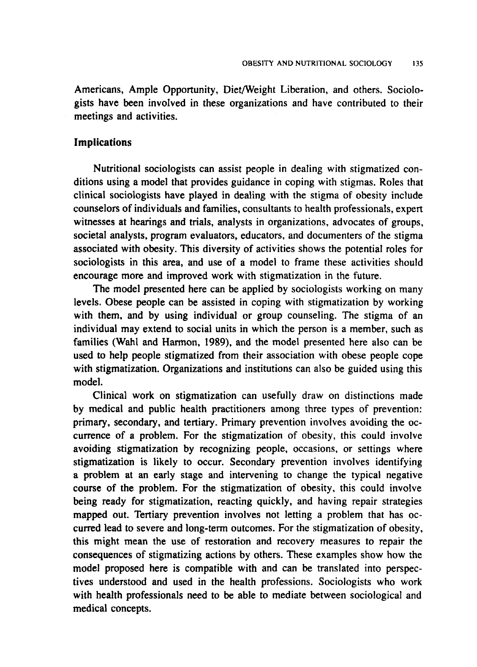Americans, Ample Opportunity, Diet/Weight Liberation, and others. Sociologists have been involved in these organizations and have contributed to their meetings and activities.

#### **Implications**

Nutritional sociologists can assist people in dealing with stigmatized conditions using a model that provides guidance in coping with stigmas. Roles that clinical sociologists have played in dealing with the stigma of obesity include counselors of individuals and families, consultants to health professionals, expert witnesses at hearings and trials, analysts in organizations, advocates of groups, societal analysts, program evaluators, educators, and documenters of the stigma associated with obesity. This diversity of activities shows the potential roles for sociologists in this area, and use of a model to frame these activities should encourage more and improved work with stigmatization in the future.

The model presented here can be applied by sociologists working on many levels. Obese people can be assisted in coping with stigmatization by working with them, and by using individual or group counseling. The stigma of an individual may extend to social units in which the person is a member, such as families (Wahl and Harmon, 1989), and the model presented here also can be used to help people stigmatized from their association with obese people cope with stigmatization. Organizations and institutions can also be guided using this model.

Clinical work on stigmatization can usefully draw on distinctions made by medical and public health practitioners among three types of prevention: primary, secondary, and tertiary. Primary prevention involves avoiding the occurrence of a problem. For the stigmatization of obesity, this could involve avoiding stigmatization by recognizing people, occasions, or settings where stigmatization is likely to occur. Secondary prevention involves identifying a problem at an early stage and intervening to change the typical negative course of the problem. For the stigmatization of obesity, this could involve being ready for stigmatization, reacting quickly, and having repair strategies mapped out. Tertiary prevention involves not letting a problem that has occurred lead to severe and long-term outcomes. For the stigmatization of obesity, this might mean the use of restoration and recovery measures to repair the consequences of stigmatizing actions by others. These examples show how the model proposed here is compatible with and can be translated into perspectives understood and used in the health professions. Sociologists who work with health professionals need to be able to mediate between sociological and medical concepts.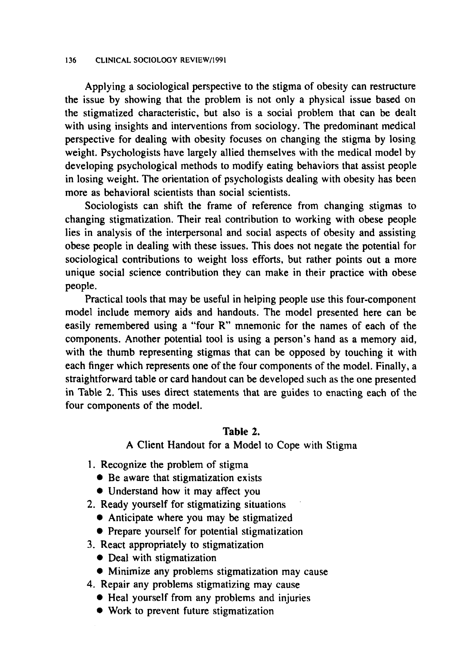#### 136 CLINICAL SOCIOLOGY REVIEW/1991

Applying a sociological perspective to the stigma of obesity can restructure the issue by showing that the problem is not only a physical issue based on the stigmatized characteristic, but also is a social problem that can be dealt with using insights and interventions from sociology. The predominant medical perspective for dealing with obesity focuses on changing the stigma by losing weight. Psychologists have largely allied themselves with the medical model by developing psychological methods to modify eating behaviors that assist people in losing weight. The orientation of psychologists dealing with obesity has been more as behavioral scientists than social scientists.

Sociologists can shift the frame of reference from changing stigmas to changing stigmatization. Their real contribution to working with obese people lies in analysis of the interpersonal and social aspects of obesity and assisting obese people in dealing with these issues. This does not negate the potential for sociological contributions to weight loss efforts, but rather points out a more unique social science contribution they can make in their practice with obese people.

Practical tools that may be useful in helping people use this four-component model include memory aids and handouts. The model presented here can be easily remembered using a "four R" mnemonic for the names of each of the components. Another potential tool is using a person's hand as a memory aid, with the thumb representing stigmas that can be opposed by touching it with each finger which represents one of the four components of the model. Finally, a straightforward table or card handout can be developed such as the one presented in Table 2. This uses direct statements that are guides to enacting each of the four components of the model.

# Table 2.

A Client Handout for a Model to Cope with Stigma

- 1. Recognize the problem of stigma
	- Be aware that stigmatization exists
	- Understand how it may affect you
- 2. Ready yourself for stigmatizing situations
	- Anticipate where you may be stigmatized
	- Prepare yourself for potential stigmatization
- 3. React appropriately to stigmatization
	- Deal with stigmatization
	- Minimize any problems stigmatization may cause
- 4. Repair any problems stigmatizing may cause
	- Heal yourself from any problems and injuries
	- Work to prevent future stigmatization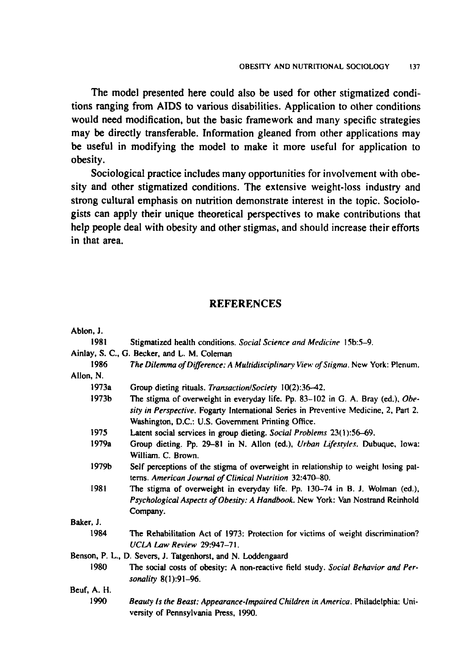The model presented here could also be used for other stigmatized conditions ranging from AIDS to various disabilities. Application to other conditions would need modification, but the basic framework and many specific strategies may be directly transferable. Information gleaned from other applications may be useful in modifying the model to make it more useful for application to obesity.

Sociological practice includes many opportunities for involvement with obesity and other stigmatized conditions. The extensive weight-loss industry and strong cultural emphasis on nutrition demonstrate interest in the topic. Sociologists can apply their unique theoretical perspectives to make contributions that help people deal with obesity and other stigmas, and should increase their efforts in that area.

# **REFERENCES**

| Abion, J.   |                                                                                      |
|-------------|--------------------------------------------------------------------------------------|
| 1981        | Stigmatized health conditions. Social Science and Medicine 15b:5-9.                  |
|             | Ainlay, S. C., G. Becker, and L. M. Coleman                                          |
| 1986        | The Dilemma of Difference: A Multidisciplinary View of Stigma. New York: Plenum.     |
| Allon, N.   |                                                                                      |
| 1973а       | Group dieting rituals. Transaction/Society 10(2):36-42.                              |
| 1973b       | The stigma of overweight in everyday life. Pp. 83–102 in G. A. Bray (ed.), Obe-      |
|             | sity in Perspective. Fogarty International Series in Preventive Medicine, 2, Part 2. |
|             | Washington, D.C.: U.S. Government Printing Office.                                   |
| 1975        | Latent social services in group dieting. Social Problems 23(1):56-69.                |
| 1979a       | Group dieting. Pp. 29–81 in N. Allon (ed.), Urban Lifestyles. Dubuque, Iowa:         |
|             | William. C. Brown.                                                                   |
| 1979b       | Self perceptions of the stigma of overweight in relationship to weight losing pat-   |
|             | terns. American Journal of Clinical Nutrition 32:470-80.                             |
| 1981        | The stigma of overweight in everyday life. Pp. 130-74 in B. J. Wolman (ed.),         |
|             | Psychological Aspects of Obesity: A Handbook. New York: Van Nostrand Reinhold        |
|             | Company.                                                                             |
| Baker, J.   |                                                                                      |
| 1984        | The Rehabilitation Act of 1973: Protection for victims of weight discrimination?     |
|             | UCLA Law Review 29:947-71.                                                           |
|             | Benson, P. L., D. Severs, J. Tatgenhorst, and N. Loddengaard                         |
| 1980        | The social costs of obesity: A non-reactive field study. Social Behavior and Per-    |
|             | sonality 8(1):91-96.                                                                 |
| Beuf, A. H. |                                                                                      |
| 1990        | Beauty Is the Beast: Appearance-Impaired Children in America. Philadelphia: Uni-     |
|             | versity of Pennsylvania Press, 1990.                                                 |
|             |                                                                                      |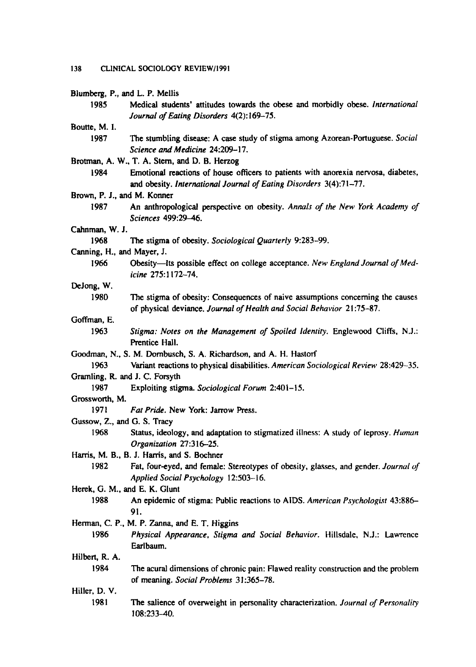# 138 CLINICAL SOCIOLOGY REVIEW/1991

|                             | Blumberg, P., and L. P. Mellis                                                                       |
|-----------------------------|------------------------------------------------------------------------------------------------------|
| 1985                        | Medical students' attitudes towards the obese and morbidly obese. International                      |
|                             | Journal of Eating Disorders 4(2):169-75.                                                             |
| Boutte, M. I.               |                                                                                                      |
| 1987                        | The stumbling disease: A case study of stigma among Azorean-Portuguese. Social                       |
|                             | Science and Medicine 24:209-17.                                                                      |
|                             | Brotman, A. W., T. A. Stern, and D. B. Herzog                                                        |
| 1984                        | Emotional reactions of house officers to patients with anorexia nervosa, diabetes,                   |
|                             | and obesity. International Journal of Eating Disorders 3(4):71-77.                                   |
| Brown, P. J., and M. Konner |                                                                                                      |
| 1987                        |                                                                                                      |
|                             | An anthropological perspective on obesity. Annals of the New York Academy of<br>Sciences 499:29-46.  |
| Cahnman, W. J.              |                                                                                                      |
| 1968                        | The stigma of obesity. Sociological Quarterly 9:283-99.                                              |
| Canning, H., and Mayer, J.  |                                                                                                      |
| 1966                        | Obesity-Its possible effect on college acceptance. New England Journal of Med-<br>icine 275:1172-74. |
| DeJong, W.                  |                                                                                                      |
| 1980                        | The stigma of obesity: Consequences of naive assumptions concerning the causes                       |
|                             | of physical deviance. Journal of Health and Social Behavior 21:75-87.                                |
| Goffman, E.                 |                                                                                                      |
| 1963                        | Stigma: Notes on the Management of Spoiled Identity. Englewood Cliffs, N.J.:<br>Prentice Hall.       |
|                             | Goodman, N., S. M. Dombusch, S. A. Richardson, and A. H. Hastorf                                     |
| 1963                        | Variant reactions to physical disabilities. American Sociological Review 28:429-35.                  |
|                             | Gramling, R. and J. C. Forsyth                                                                       |
| 1987                        | Exploiting stigma. Sociological Forum 2:401-15.                                                      |
| Grossworth, M.              |                                                                                                      |
| 1971                        | Fat Pride. New York: Jarrow Press.                                                                   |
| Gussow, Z., and G. S. Tracy |                                                                                                      |
| 1968                        | Status, ideology, and adaptation to stigmatized illness: A study of leprosy. Human                   |
|                             | Organization 27:316-25.                                                                              |
|                             | Harris, M. B., B. J. Harris, and S. Bochner                                                          |
| 1982                        | Fat, four-eyed, and female: Stereotypes of obesity, glasses, and gender. Journal of                  |
|                             | Applied Social Psychology 12:503-16.                                                                 |
|                             | Herek, G. M., and E. K. Glunt                                                                        |
| 1988                        |                                                                                                      |
|                             | An epidemic of stigma: Public reactions to AIDS. American Psychologist 43:886-<br>91.                |
|                             | Herman, C. P., M. P. Zanna, and E. T. Higgins                                                        |
| 1986                        | Physical Appearance, Stigma and Social Behavior. Hillsdale, N.J.: Lawrence                           |
|                             | Earlbaum.                                                                                            |
| Hilbert, R. A.              |                                                                                                      |
| 1984                        | The acural dimensions of chronic pain: Flawed reality construction and the problem                   |
|                             | of meaning. Social Problems 31:365-78.                                                               |
| Hiller, D. V.               |                                                                                                      |
| 1981                        | The salience of overweight in personality characterization. Journal of Personality<br>108:233-40.    |
|                             |                                                                                                      |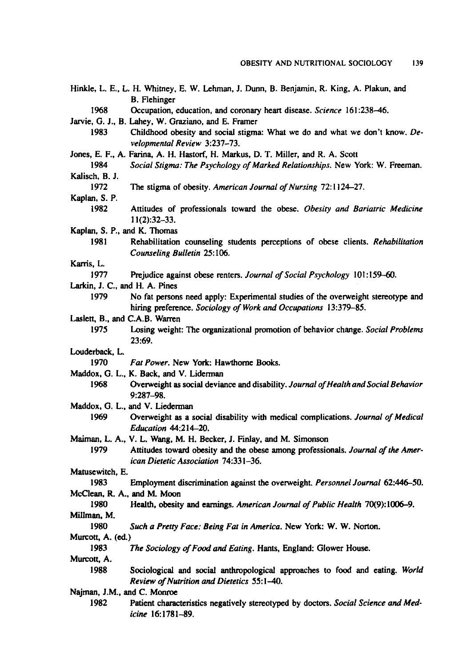|                                | Hinkle, L. E., L. H. Whitney, E. W. Lehman, J. Dunn, B. Benjamin, R. King, A. Plakun, and                                                           |
|--------------------------------|-----------------------------------------------------------------------------------------------------------------------------------------------------|
| 1968                           | <b>B.</b> Flehinger                                                                                                                                 |
|                                | Occupation, education, and coronary heart disease. Science 161:238-46.                                                                              |
|                                | Jarvie, G. J., B. Lahey, W. Graziano, and E. Framer                                                                                                 |
| 1983                           | Childhood obesity and social stigma: What we do and what we don't know. De-<br>velopmental Review 3:237-73.                                         |
|                                | Jones, E. F., A. Farina, A. H. Hastorf, H. Markus, D. T. Miller, and R. A. Scott                                                                    |
| 1984                           | Social Stigma: The Psychology of Marked Relationships. New York: W. Freeman.                                                                        |
| Kalisch, B. J.                 |                                                                                                                                                     |
| 1972                           | The stigma of obesity. American Journal of Nursing 72:1124-27.                                                                                      |
| Kaplan, S. P.                  |                                                                                                                                                     |
| 1982                           | Attitudes of professionals toward the obese. Obesity and Bariatric Medicine                                                                         |
|                                | $11(2):32-33.$                                                                                                                                      |
| Kaplan, S. P., and K. Thomas   |                                                                                                                                                     |
| 1981                           | Rehabilitation counseling students perceptions of obese clients. Rehabilitation<br>Counseling Bulletin 25:106.                                      |
| Karris, L.                     |                                                                                                                                                     |
| 1977                           | Prejudice against obese renters. Journal of Social Psychology 101:159-60.                                                                           |
| Larkin, J. C., and H. A. Pines |                                                                                                                                                     |
| 1979                           | No fat persons need apply: Experimental studies of the overweight stereotype and<br>hiring preference. Sociology of Work and Occupations 13:379-85. |
| Laslett, B., and C.A.B. Warren |                                                                                                                                                     |
| 1975                           | Losing weight: The organizational promotion of behavior change. Social Problems<br>23:69.                                                           |
| Louderback, L.                 |                                                                                                                                                     |
| 1970                           | Fat Power. New York: Hawthorne Books.                                                                                                               |
|                                | Maddox, G. L., K. Back, and V. Liderman                                                                                                             |
| 1968                           | Overweight as social deviance and disability. Journal of Health and Social Behavior<br>$9:287 - 98.$                                                |
|                                | Maddox, G. L., and V. Liederman                                                                                                                     |
| 1969                           | Overweight as a social disability with medical complications. Journal of Medical<br>Education 44:214-20.                                            |
|                                | Maiman, L. A., V. L. Wang, M. H. Becker, J. Finlay, and M. Simonson                                                                                 |
| 1979                           | Attitudes toward obesity and the obese among professionals. Journal of the Amer-<br>ican Dietetic Association 74:331-36.                            |
| Matusewitch, E.                |                                                                                                                                                     |
| 1983                           | Employment discrimination against the overweight. Personnel Journal 62:446-50.                                                                      |
| McClean, R. A., and M. Moon    |                                                                                                                                                     |
| 1980                           | Health, obesity and earnings. American Journal of Public Health 70(9):1006-9.                                                                       |
| Millman, M.                    |                                                                                                                                                     |
| 1980                           | Such a Pretty Face: Being Fat in America. New York: W. W. Norton.                                                                                   |
| Murcott, A. (ed.)              |                                                                                                                                                     |
| 1983                           | The Sociology of Food and Eating. Hants, England: Glower House.                                                                                     |
| Murcott, A.                    |                                                                                                                                                     |
| 1988                           | Sociological and social anthropological approaches to food and eating. World<br>Review of Nutrition and Dietetics 55:1-40.                          |
| Najman, J.M., and C. Monroe    |                                                                                                                                                     |
| 1982                           | Patient characteristics negatively stereotyped by doctors. Social Science and Med-<br>icine 16:1781-89.                                             |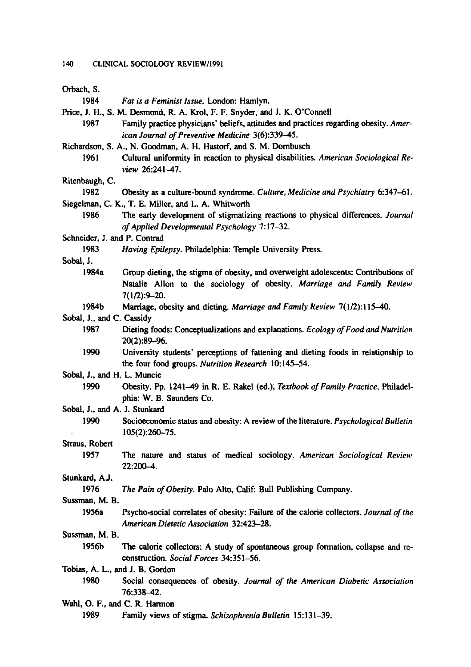#### 140 CLINICAL SOCIOLOGY REVIEW/1991

| Orbach, S.                      |                                                                                                                                                                               |
|---------------------------------|-------------------------------------------------------------------------------------------------------------------------------------------------------------------------------|
| 1984                            | Fat is a Feminist Issue. London: Hamlyn.                                                                                                                                      |
|                                 | Price, J. H., S. M. Desmond, R. A. Krol, F. F. Snyder, and J. K. O'Connell                                                                                                    |
| 1987                            | Family practice physicians' beliefs, attitudes and practices regarding obesity. Amer-                                                                                         |
|                                 | ican Journal of Preventive Medicine 3(6):339-45.                                                                                                                              |
|                                 | Richardson, S. A., N. Goodman, A. H. Hastorf, and S. M. Dornbusch                                                                                                             |
| 1961                            | Cultural uniformity in reaction to physical disabilities. American Sociological Re-<br>view 26:241-47.                                                                        |
| Ritenbaugh, C.                  |                                                                                                                                                                               |
| 1982                            | Obesity as a culture-bound syndrome. Culture, Medicine and Psychiatry 6:347-61.                                                                                               |
|                                 | Siegelman, C. K., T. E. Miller, and L. A. Whitworth                                                                                                                           |
| 1986                            | The early development of stigmatizing reactions to physical differences. Journal                                                                                              |
|                                 | of Applied Developmental Psychology 7:17-32.                                                                                                                                  |
| Schneider, J. and P. Contrad    |                                                                                                                                                                               |
| 1983                            | Having Epilepsy. Philadelphia: Temple University Press.                                                                                                                       |
| Sobal, J.                       |                                                                                                                                                                               |
| 1984a                           | Group dieting, the stigma of obesity, and overweight adolescents: Contributions of<br>Natalie Allon to the sociology of obesity. Marriage and Family Review<br>$7(1/2):9-20.$ |
| 1984b                           | Marriage, obesity and dieting. Marriage and Family Review 7(1/2):115-40.                                                                                                      |
| Sobal, J., and C. Cassidy       |                                                                                                                                                                               |
| 1987                            | Dieting foods: Conceptualizations and explanations. Ecology of Food and Nutrition<br>$20(2):89 - 96.$                                                                         |
| 1990                            | University students' perceptions of fattening and dieting foods in relationship to<br>the four food groups. Nutrition Research 10:145-54.                                     |
| Sobal, J., and H. L. Muncie     |                                                                                                                                                                               |
| 1990                            | Obesity, Pp. 1241-49 in R. E. Rakel (ed.), Textbook of Family Practice, Philadel-<br>phia: W. B. Saunders Co.                                                                 |
| Sobal, J., and A. J. Stunkard   |                                                                                                                                                                               |
| 1990                            | Socioeconomic status and obesity: A review of the literature. <i>Psychological Bulletin</i><br>105(2):260-75.                                                                 |
| Straus, Robert                  |                                                                                                                                                                               |
| 1957                            | The nature and status of medical sociology. American Sociological Review<br>$22:200 - 4.$                                                                                     |
| Stunkard, A.J.                  |                                                                                                                                                                               |
| 1976                            | The Pain of Obesity. Palo Alto, Calif: Bull Publishing Company.                                                                                                               |
| Sussman, M. B.                  |                                                                                                                                                                               |
| 1956a                           | Psycho-social correlates of obesity: Failure of the calorie collectors. Journal of the<br>American Dietetic Association 32:423-28.                                            |
| Sussman, M. B.                  |                                                                                                                                                                               |
| 1956b                           | The calorie collectors: A study of spontaneous group formation, collapse and re-<br>construction. Social Forces 34:351-56.                                                    |
| Tobias, A. L., and J. B. Gordon |                                                                                                                                                                               |
| 1980                            | Social consequences of obesity. Journal of the American Diabetic Association<br>76:338-42.                                                                                    |
| Wahl, O. F., and C. R. Harmon   |                                                                                                                                                                               |
| 1989                            | Family views of stigma. Schizophrenia Bulletin 15:131-39.                                                                                                                     |